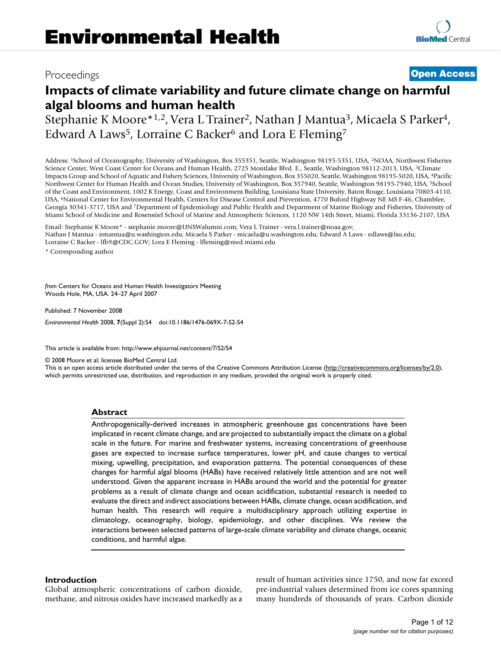## Proceedings **[Open Access](http://www.biomedcentral.com/info/about/charter/)**

# **Impacts of climate variability and future climate change on harmful algal blooms and human health**

Stephanie K Moore\*<sup>1,2</sup>, Vera L Trainer<sup>2</sup>, Nathan J Mantua<sup>3</sup>, Micaela S Parker<sup>4</sup>, Edward A Laws<sup>5</sup>, Lorraine C Backer<sup>6</sup> and Lora E Fleming<sup>7</sup>

Address: 1School of Oceanography, University of Washington, Box 355351, Seattle, Washington 98195-5351, USA, 2NOAA, Northwest Fisheries Science Center, West Coast Center for Oceans and Human Health, 2725 Montlake Blvd. E., Seattle, Washington 98112-2013, USA, 3Climate Impacts Group and School of Aquatic and Fishery Sciences, University of Washington, Box 355020, Seattle, Washington 98195-5020, USA, 4Pacific Northwest Center for Human Health and Ocean Studies, University of Washington, Box 357940, Seattle, Washington 98195-7940, USA, 5School of the Coast and Environment, 1002 K Energy, Coast and Environment Building, Louisiana State University, Baton Rouge, Louisiana 70803-4110, USA, 6National Center for Environmental Health, Centers for Disease Control and Prevention, 4770 Buford Highway NE MS F-46, Chamblee, Georgia 30341-3717, USA and 7Department of Epidemiology and Public Health and Department of Marine Biology and Fisheries, University of Miami School of Medicine and Rosenstiel School of Marine and Atmospheric Sciences, 1120 NW 14th Street, Miami, Florida 33136-2107, USA

Email: Stephanie K Moore\* - stephanie.moore@UNSWalumni.com; Vera L Trainer - vera.l.trainer@noaa.gov; Nathan J Mantua - nmantua@u.washington.edu; Micaela S Parker - micaela@u.washington.edu; Edward A Laws - edlaws@lsu.edu; Lorraine C Backer - lfb9@CDC.GOV; Lora E Fleming - lfleming@med.miami.edu

\* Corresponding author

*from* Centers for Oceans and Human Health Investigators Meeting Woods Hole, MA, USA. 24–27 April 2007

Published: 7 November 2008

*Environmental Health* 2008, **7**(Suppl 2):S4 doi:10.1186/1476-069X-7-S2-S4

[This article is available from: http://www.ehjournal.net/content/7/S2/S4](http://www.ehjournal.net/content/7/S2/S4)

© 2008 Moore et al; licensee BioMed Central Ltd.

This is an open access article distributed under the terms of the Creative Commons Attribution License [\(http://creativecommons.org/licenses/by/2.0\)](http://creativecommons.org/licenses/by/2.0), which permits unrestricted use, distribution, and reproduction in any medium, provided the original work is properly cited.

#### **Abstract**

Anthropogenically-derived increases in atmospheric greenhouse gas concentrations have been implicated in recent climate change, and are projected to substantially impact the climate on a global scale in the future. For marine and freshwater systems, increasing concentrations of greenhouse gases are expected to increase surface temperatures, lower pH, and cause changes to vertical mixing, upwelling, precipitation, and evaporation patterns. The potential consequences of these changes for harmful algal blooms (HABs) have received relatively little attention and are not well understood. Given the apparent increase in HABs around the world and the potential for greater problems as a result of climate change and ocean acidification, substantial research is needed to evaluate the direct and indirect associations between HABs, climate change, ocean acidification, and human health. This research will require a multidisciplinary approach utilizing expertise in climatology, oceanography, biology, epidemiology, and other disciplines. We review the interactions between selected patterns of large-scale climate variability and climate change, oceanic conditions, and harmful algae.

#### **Introduction**

Global atmospheric concentrations of carbon dioxide, methane, and nitrous oxides have increased markedly as a result of human activities since 1750, and now far exceed pre-industrial values determined from ice cores spanning many hundreds of thousands of years. Carbon dioxide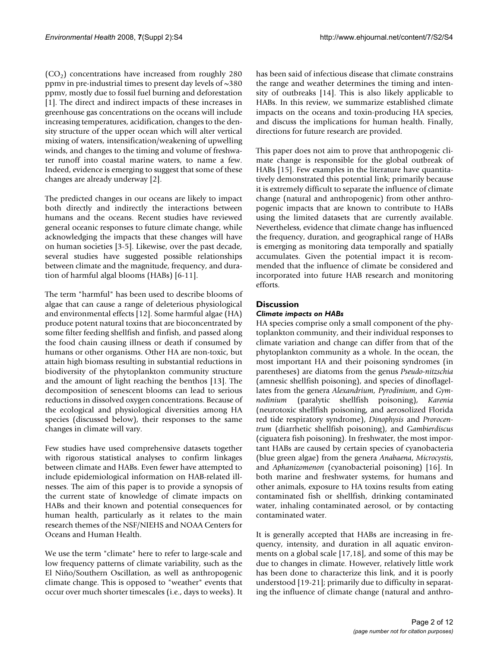$(CO<sub>2</sub>)$  concentrations have increased from roughly 280 ppmv in pre-industrial times to present day levels of  $\sim$ 380 ppmv, mostly due to fossil fuel burning and deforestation [1]. The direct and indirect impacts of these increases in greenhouse gas concentrations on the oceans will include increasing temperatures, acidification, changes to the density structure of the upper ocean which will alter vertical mixing of waters, intensification/weakening of upwelling winds, and changes to the timing and volume of freshwater runoff into coastal marine waters, to name a few. Indeed, evidence is emerging to suggest that some of these changes are already underway [2].

The predicted changes in our oceans are likely to impact both directly and indirectly the interactions between humans and the oceans. Recent studies have reviewed general oceanic responses to future climate change, while acknowledging the impacts that these changes will have on human societies [3-5]. Likewise, over the past decade, several studies have suggested possible relationships between climate and the magnitude, frequency, and duration of harmful algal blooms (HABs) [6-11].

The term "harmful" has been used to describe blooms of algae that can cause a range of deleterious physiological and environmental effects [12]. Some harmful algae (HA) produce potent natural toxins that are bioconcentrated by some filter feeding shellfish and finfish, and passed along the food chain causing illness or death if consumed by humans or other organisms. Other HA are non-toxic, but attain high biomass resulting in substantial reductions in biodiversity of the phytoplankton community structure and the amount of light reaching the benthos [13]. The decomposition of senescent blooms can lead to serious reductions in dissolved oxygen concentrations. Because of the ecological and physiological diversities among HA species (discussed below), their responses to the same changes in climate will vary.

Few studies have used comprehensive datasets together with rigorous statistical analyses to confirm linkages between climate and HABs. Even fewer have attempted to include epidemiological information on HAB-related illnesses. The aim of this paper is to provide a synopsis of the current state of knowledge of climate impacts on HABs and their known and potential consequences for human health, particularly as it relates to the main research themes of the NSF/NIEHS and NOAA Centers for Oceans and Human Health.

We use the term "climate" here to refer to large-scale and low frequency patterns of climate variability, such as the El Niño/Southern Oscillation, as well as anthropogenic climate change. This is opposed to "weather" events that occur over much shorter timescales (i.e., days to weeks). It has been said of infectious disease that climate constrains the range and weather determines the timing and intensity of outbreaks [14]. This is also likely applicable to HABs. In this review, we summarize established climate impacts on the oceans and toxin-producing HA species, and discuss the implications for human health. Finally, directions for future research are provided.

This paper does not aim to prove that anthropogenic climate change is responsible for the global outbreak of HABs [15]. Few examples in the literature have quantitatively demonstrated this potential link; primarily because it is extremely difficult to separate the influence of climate change (natural and anthropogenic) from other anthropogenic impacts that are known to contribute to HABs using the limited datasets that are currently available. Nevertheless, evidence that climate change has influenced the frequency, duration, and geographical range of HABs is emerging as monitoring data temporally and spatially accumulates. Given the potential impact it is recommended that the influence of climate be considered and incorporated into future HAB research and monitoring efforts.

### **Discussion**

#### *Climate impacts on HABs*

HA species comprise only a small component of the phytoplankton community, and their individual responses to climate variation and change can differ from that of the phytoplankton community as a whole. In the ocean, the most important HA and their poisoning syndromes (in parentheses) are diatoms from the genus *Pseudo-nitzschia* (amnesic shellfish poisoning), and species of dinoflagellates from the genera *Alexandrium, Pyrodinium*, and *Gymnodinium* (paralytic shellfish poisoning), *Karenia* (neurotoxic shellfish poisoning, and aerosolized Florida red tide respiratory syndrome), *Dinophysis* and *Prorocentrum* (diarrhetic shellfish poisoning), and *Gambierdiscus* (ciguatera fish poisoning). In freshwater, the most important HABs are caused by certain species of cyanobacteria (blue green algae) from the genera *Anabaena*, *Microcystis*, and *Aphanizomenon* (cyanobacterial poisoning) [16]. In both marine and freshwater systems, for humans and other animals, exposure to HA toxins results from eating contaminated fish or shellfish, drinking contaminated water, inhaling contaminated aerosol, or by contacting contaminated water.

It is generally accepted that HABs are increasing in frequency, intensity, and duration in all aquatic environments on a global scale [17,18], and some of this may be due to changes in climate. However, relatively little work has been done to characterize this link, and it is poorly understood [19-21]; primarily due to difficulty in separating the influence of climate change (natural and anthro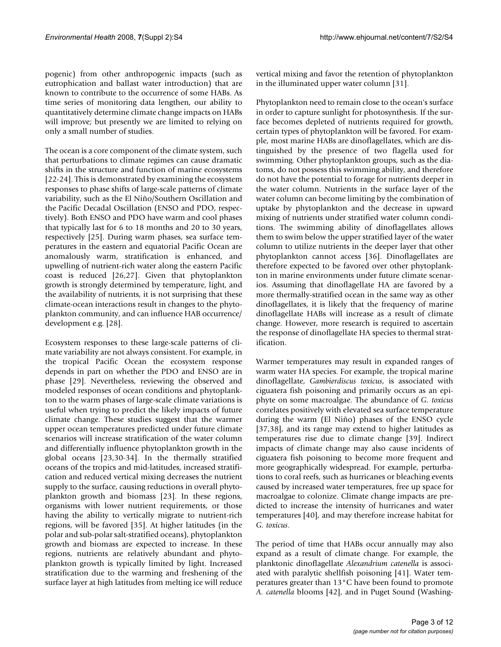pogenic) from other anthropogenic impacts (such as eutrophication and ballast water introduction) that are known to contribute to the occurrence of some HABs. As time series of monitoring data lengthen, our ability to quantitatively determine climate change impacts on HABs will improve; but presently we are limited to relying on only a small number of studies.

The ocean is a core component of the climate system, such that perturbations to climate regimes can cause dramatic shifts in the structure and function of marine ecosystems [22-24]. This is demonstrated by examining the ecosystem responses to phase shifts of large-scale patterns of climate variability, such as the El Niño/Southern Oscillation and the Pacific Decadal Oscillation (ENSO and PDO, respectively). Both ENSO and PDO have warm and cool phases that typically last for 6 to 18 months and 20 to 30 years, respectively [25]. During warm phases, sea surface temperatures in the eastern and equatorial Pacific Ocean are anomalously warm, stratification is enhanced, and upwelling of nutrient-rich water along the eastern Pacific coast is reduced [26,27]. Given that phytoplankton growth is strongly determined by temperature, light, and the availability of nutrients, it is not surprising that these climate-ocean interactions result in changes to the phytoplankton community, and can influence HAB occurrence/ development e.g. [28].

Ecosystem responses to these large-scale patterns of climate variability are not always consistent. For example, in the tropical Pacific Ocean the ecosystem response depends in part on whether the PDO and ENSO are in phase [29]. Nevertheless, reviewing the observed and modeled responses of ocean conditions and phytoplankton to the warm phases of large-scale climate variations is useful when trying to predict the likely impacts of future climate change. These studies suggest that the warmer upper ocean temperatures predicted under future climate scenarios will increase stratification of the water column and differentially influence phytoplankton growth in the global oceans [23,30-34]. In the thermally stratified oceans of the tropics and mid-latitudes, increased stratification and reduced vertical mixing decreases the nutrient supply to the surface, causing reductions in overall phytoplankton growth and biomass [23]. In these regions, organisms with lower nutrient requirements, or those having the ability to vertically migrate to nutrient-rich regions, will be favored [35]. At higher latitudes (in the polar and sub-polar salt-stratified oceans), phytoplankton growth and biomass are expected to increase. In these regions, nutrients are relatively abundant and phytoplankton growth is typically limited by light. Increased stratification due to the warming and freshening of the surface layer at high latitudes from melting ice will reduce vertical mixing and favor the retention of phytoplankton in the illuminated upper water column [31].

Phytoplankton need to remain close to the ocean's surface in order to capture sunlight for photosynthesis. If the surface becomes depleted of nutrients required for growth, certain types of phytoplankton will be favored. For example, most marine HABs are dinoflagellates, which are distinguished by the presence of two flagella used for swimming. Other phytoplankton groups, such as the diatoms, do not possess this swimming ability, and therefore do not have the potential to forage for nutrients deeper in the water column. Nutrients in the surface layer of the water column can become limiting by the combination of uptake by phytoplankton and the decrease in upward mixing of nutrients under stratified water column conditions. The swimming ability of dinoflagellates allows them to swim below the upper stratified layer of the water column to utilize nutrients in the deeper layer that other phytoplankton cannot access [36]. Dinoflagellates are therefore expected to be favored over other phytoplankton in marine environments under future climate scenarios. Assuming that dinoflagellate HA are favored by a more thermally-stratified ocean in the same way as other dinoflagellates, it is likely that the frequency of marine dinoflagellate HABs will increase as a result of climate change. However, more research is required to ascertain the response of dinoflagellate HA species to thermal stratification.

Warmer temperatures may result in expanded ranges of warm water HA species. For example, the tropical marine dinoflagellate, *Gambierdiscus toxicus*, is associated with ciguatera fish poisoning and primarily occurs as an epiphyte on some macroalgae. The abundance of *G. toxicus* correlates positively with elevated sea surface temperature during the warm (El Niño) phases of the ENSO cycle [37,38], and its range may extend to higher latitudes as temperatures rise due to climate change [39]. Indirect impacts of climate change may also cause incidents of ciguatera fish poisoning to become more frequent and more geographically widespread. For example, perturbations to coral reefs, such as hurricanes or bleaching events caused by increased water temperatures, free up space for macroalgae to colonize. Climate change impacts are predicted to increase the intensity of hurricanes and water temperatures [40], and may therefore increase habitat for *G. toxicus*.

The period of time that HABs occur annually may also expand as a result of climate change. For example, the planktonic dinoflagellate *Alexandrium catenella* is associated with paralytic shellfish poisoning [41]. Water temperatures greater than 13°C have been found to promote *A. catenella* blooms [42], and in Puget Sound (Washing-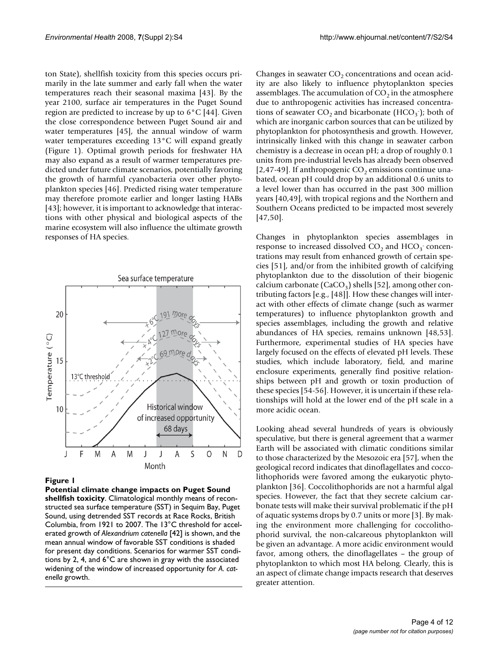ton State), shellfish toxicity from this species occurs primarily in the late summer and early fall when the water temperatures reach their seasonal maxima [43]. By the year 2100, surface air temperatures in the Puget Sound region are predicted to increase by up to 6°C [44]. Given the close correspondence between Puget Sound air and water temperatures [45], the annual window of warm water temperatures exceeding 13°C will expand greatly (Figure 1). Optimal growth periods for freshwater HA may also expand as a result of warmer temperatures predicted under future climate scenarios, potentially favoring the growth of harmful cyanobacteria over other phytoplankton species [46]. Predicted rising water temperature may therefore promote earlier and longer lasting HABs [43]; however, it is important to acknowledge that interactions with other physical and biological aspects of the marine ecosystem will also influence the ultimate growth responses of HA species.



#### **Figure 1**

**Potential climate change impacts on Puget Sound shellfish toxicity**. Climatological monthly means of reconstructed sea surface temperature (SST) in Sequim Bay, Puget Sound, using detrended SST records at Race Rocks, British Columbia, from 1921 to 2007. The 13°C threshold for accelerated growth of *Alexandrium catenella* [42] is shown, and the mean annual window of favorable SST conditions is shaded for present day conditions. Scenarios for warmer SST conditions by 2, 4, and 6°C are shown in gray with the associated widening of the window of increased opportunity for *A. catenella* growth.

Changes in seawater  $CO<sub>2</sub>$  concentrations and ocean acidity are also likely to influence phytoplankton species assemblages. The accumulation of  $CO<sub>2</sub>$  in the atmosphere due to anthropogenic activities has increased concentrations of seawater  $CO_2$  and bicarbonate (HCO<sub>3</sub><sup>-</sup>); both of which are inorganic carbon sources that can be utilized by phytoplankton for photosynthesis and growth. However, intrinsically linked with this change in seawater carbon chemistry is a decrease in ocean pH; a drop of roughly 0.1 units from pre-industrial levels has already been observed [2,47-49]. If anthropogenic  $CO<sub>2</sub>$  emissions continue unabated, ocean pH could drop by an additional 0.6 units to a level lower than has occurred in the past 300 million years [40,49], with tropical regions and the Northern and Southern Oceans predicted to be impacted most severely [47,50].

Changes in phytoplankton species assemblages in response to increased dissolved  $CO_2$  and  $HCO_3^-$  concentrations may result from enhanced growth of certain species [51], and/or from the inhibited growth of calcifying phytoplankton due to the dissolution of their biogenic calcium carbonate (CaCO<sub>3</sub>) shells [52], among other contributing factors [e.g., [48]]. How these changes will interact with other effects of climate change (such as warmer temperatures) to influence phytoplankton growth and species assemblages, including the growth and relative abundances of HA species, remains unknown [48,53]. Furthermore, experimental studies of HA species have largely focused on the effects of elevated pH levels. These studies, which include laboratory, field, and marine enclosure experiments, generally find positive relationships between pH and growth or toxin production of these species [54-56]. However, it is uncertain if these relationships will hold at the lower end of the pH scale in a more acidic ocean.

Looking ahead several hundreds of years is obviously speculative, but there is general agreement that a warmer Earth will be associated with climatic conditions similar to those characterized by the Mesozoic era [57], when the geological record indicates that dinoflagellates and coccolithophorids were favored among the eukaryotic phytoplankton [36]. Coccolithophorids are not a harmful algal species. However, the fact that they secrete calcium carbonate tests will make their survival problematic if the pH of aquatic systems drops by 0.7 units or more [3]. By making the environment more challenging for coccolithophorid survival, the non-calcareous phytoplankton will be given an advantage. A more acidic environment would favor, among others, the dinoflagellates – the group of phytoplankton to which most HA belong. Clearly, this is an aspect of climate change impacts research that deserves greater attention.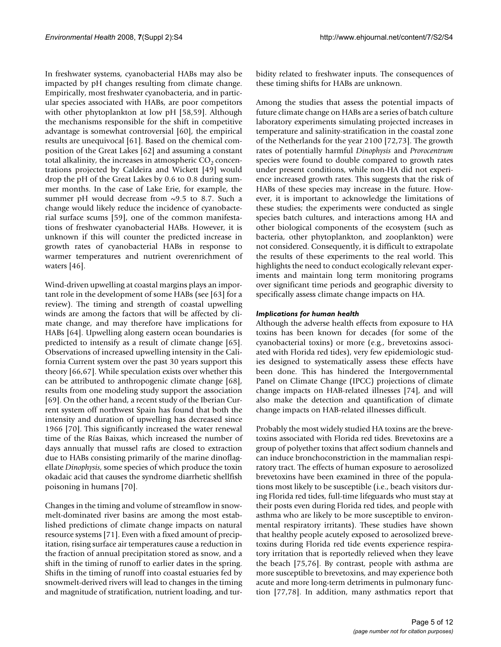In freshwater systems, cyanobacterial HABs may also be impacted by pH changes resulting from climate change. Empirically, most freshwater cyanobacteria, and in particular species associated with HABs, are poor competitors with other phytoplankton at low pH [58,59]. Although the mechanisms responsible for the shift in competitive advantage is somewhat controversial [60], the empirical results are unequivocal [61]. Based on the chemical composition of the Great Lakes [62] and assuming a constant total alkalinity, the increases in atmospheric  $CO<sub>2</sub>$  concentrations projected by Caldeira and Wickett [49] would drop the pH of the Great Lakes by 0.6 to 0.8 during summer months. In the case of Lake Erie, for example, the summer pH would decrease from ~9.5 to 8.7. Such a change would likely reduce the incidence of cyanobacterial surface scums [59], one of the common manifestations of freshwater cyanobacterial HABs. However, it is unknown if this will counter the predicted increase in growth rates of cyanobacterial HABs in response to warmer temperatures and nutrient overenrichment of waters [46].

Wind-driven upwelling at coastal margins plays an important role in the development of some HABs (see [63] for a review). The timing and strength of coastal upwelling winds are among the factors that will be affected by climate change, and may therefore have implications for HABs [64]. Upwelling along eastern ocean boundaries is predicted to intensify as a result of climate change [65]. Observations of increased upwelling intensity in the California Current system over the past 30 years support this theory [66,67]. While speculation exists over whether this can be attributed to anthropogenic climate change [68], results from one modeling study support the association [69]. On the other hand, a recent study of the Iberian Current system off northwest Spain has found that both the intensity and duration of upwelling has decreased since 1966 [70]. This significantly increased the water renewal time of the Rías Baixas, which increased the number of days annually that mussel rafts are closed to extraction due to HABs consisting primarily of the marine dinoflagellate *Dinophysis*, some species of which produce the toxin okadaic acid that causes the syndrome diarrhetic shellfish poisoning in humans [70].

Changes in the timing and volume of streamflow in snowmelt-dominated river basins are among the most established predictions of climate change impacts on natural resource systems [71]. Even with a fixed amount of precipitation, rising surface air temperatures cause a reduction in the fraction of annual precipitation stored as snow, and a shift in the timing of runoff to earlier dates in the spring. Shifts in the timing of runoff into coastal estuaries fed by snowmelt-derived rivers will lead to changes in the timing and magnitude of stratification, nutrient loading, and turbidity related to freshwater inputs. The consequences of these timing shifts for HABs are unknown.

Among the studies that assess the potential impacts of future climate change on HABs are a series of batch culture laboratory experiments simulating projected increases in temperature and salinity-stratification in the coastal zone of the Netherlands for the year 2100 [72,73]. The growth rates of potentially harmful *Dinophysis* and *Prorocentrum* species were found to double compared to growth rates under present conditions, while non-HA did not experience increased growth rates. This suggests that the risk of HABs of these species may increase in the future. However, it is important to acknowledge the limitations of these studies; the experiments were conducted as single species batch cultures, and interactions among HA and other biological components of the ecosystem (such as bacteria, other phytoplankton, and zooplankton) were not considered. Consequently, it is difficult to extrapolate the results of these experiments to the real world. This highlights the need to conduct ecologically relevant experiments and maintain long term monitoring programs over significant time periods and geographic diversity to specifically assess climate change impacts on HA.

#### *Implications for human health*

Although the adverse health effects from exposure to HA toxins has been known for decades (for some of the cyanobacterial toxins) or more (e.g., brevetoxins associated with Florida red tides), very few epidemiologic studies designed to systematically assess these effects have been done. This has hindered the Intergovernmental Panel on Climate Change (IPCC) projections of climate change impacts on HAB-related illnesses [74], and will also make the detection and quantification of climate change impacts on HAB-related illnesses difficult.

Probably the most widely studied HA toxins are the brevetoxins associated with Florida red tides. Brevetoxins are a group of polyether toxins that affect sodium channels and can induce bronchoconstriction in the mammalian respiratory tract. The effects of human exposure to aerosolized brevetoxins have been examined in three of the populations most likely to be susceptible (i.e., beach visitors during Florida red tides, full-time lifeguards who must stay at their posts even during Florida red tides, and people with asthma who are likely to be more susceptible to environmental respiratory irritants). These studies have shown that healthy people acutely exposed to aerosolized brevetoxins during Florida red tide events experience respiratory irritation that is reportedly relieved when they leave the beach [75,76]. By contrast, people with asthma are more susceptible to brevetoxins, and may experience both acute and more long-term detriments in pulmonary function [77,78]. In addition, many asthmatics report that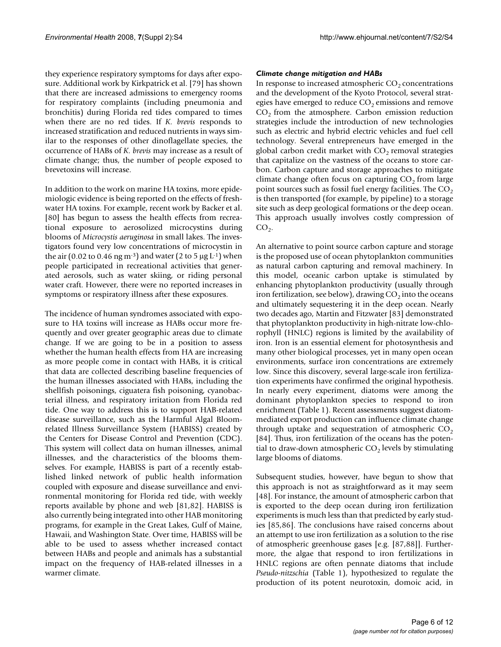they experience respiratory symptoms for days after exposure. Additional work by Kirkpatrick et al. [79] has shown that there are increased admissions to emergency rooms for respiratory complaints (including pneumonia and bronchitis) during Florida red tides compared to times when there are no red tides. If *K. brevis* responds to increased stratification and reduced nutrients in ways similar to the responses of other dinoflagellate species, the occurrence of HABs of *K. brevis* may increase as a result of climate change; thus, the number of people exposed to brevetoxins will increase.

In addition to the work on marine HA toxins, more epidemiologic evidence is being reported on the effects of freshwater HA toxins. For example, recent work by Backer et al. [80] has begun to assess the health effects from recreational exposure to aerosolized microcystins during blooms of *Microcystis aeruginosa* in small lakes. The investigators found very low concentrations of microcystin in the air (0.02 to 0.46 ng m<sup>-3</sup>) and water (2 to 5  $\mu$ g L<sup>-1</sup>) when people participated in recreational activities that generated aerosols, such as water skiing, or riding personal water craft. However, there were no reported increases in symptoms or respiratory illness after these exposures.

The incidence of human syndromes associated with exposure to HA toxins will increase as HABs occur more frequently and over greater geographic areas due to climate change. If we are going to be in a position to assess whether the human health effects from HA are increasing as more people come in contact with HABs, it is critical that data are collected describing baseline frequencies of the human illnesses associated with HABs, including the shellfish poisonings, ciguatera fish poisoning, cyanobacterial illness, and respiratory irritation from Florida red tide. One way to address this is to support HAB-related disease surveillance, such as the Harmful Algal Bloomrelated Illness Surveillance System (HABISS) created by the Centers for Disease Control and Prevention (CDC). This system will collect data on human illnesses, animal illnesses, and the characteristics of the blooms themselves. For example, HABISS is part of a recently established linked network of public health information coupled with exposure and disease surveillance and environmental monitoring for Florida red tide, with weekly reports available by phone and web [81,82]. HABISS is also currently being integrated into other HAB monitoring programs, for example in the Great Lakes, Gulf of Maine, Hawaii, and Washington State. Over time, HABISS will be able to be used to assess whether increased contact between HABs and people and animals has a substantial impact on the frequency of HAB-related illnesses in a warmer climate.

#### *Climate change mitigation and HABs*

In response to increased atmospheric  $CO<sub>2</sub>$  concentrations and the development of the Kyoto Protocol, several strategies have emerged to reduce  $CO<sub>2</sub>$  emissions and remove CO<sub>2</sub> from the atmosphere. Carbon emission reduction strategies include the introduction of new technologies such as electric and hybrid electric vehicles and fuel cell technology. Several entrepreneurs have emerged in the global carbon credit market with  $CO<sub>2</sub>$  removal strategies that capitalize on the vastness of the oceans to store carbon. Carbon capture and storage approaches to mitigate climate change often focus on capturing  $CO<sub>2</sub>$  from large point sources such as fossil fuel energy facilities. The  $CO<sub>2</sub>$ is then transported (for example, by pipeline) to a storage site such as deep geological formations or the deep ocean. This approach usually involves costly compression of  $CO<sub>2</sub>$ .

An alternative to point source carbon capture and storage is the proposed use of ocean phytoplankton communities as natural carbon capturing and removal machinery. In this model, oceanic carbon uptake is stimulated by enhancing phytoplankton productivity (usually through iron fertilization, see below), drawing  $CO<sub>2</sub>$  into the oceans and ultimately sequestering it in the deep ocean. Nearly two decades ago, Martin and Fitzwater [83] demonstrated that phytoplankton productivity in high-nitrate low-chlorophyll (HNLC) regions is limited by the availability of iron. Iron is an essential element for photosynthesis and many other biological processes, yet in many open ocean environments, surface iron concentrations are extremely low. Since this discovery, several large-scale iron fertilization experiments have confirmed the original hypothesis. In nearly every experiment, diatoms were among the dominant phytoplankton species to respond to iron enrichment (Table 1). Recent assessments suggest diatommediated export production can influence climate change through uptake and sequestration of atmospheric  $CO<sub>2</sub>$ [84]. Thus, iron fertilization of the oceans has the potential to draw-down atmospheric  $CO<sub>2</sub>$  levels by stimulating large blooms of diatoms.

Subsequent studies, however, have begun to show that this approach is not as straightforward as it may seem [48]. For instance, the amount of atmospheric carbon that is exported to the deep ocean during iron fertilization experiments is much less than that predicted by early studies [85,86]. The conclusions have raised concerns about an attempt to use iron fertilization as a solution to the rise of atmospheric greenhouse gases [e.g. [87,88]]. Furthermore, the algae that respond to iron fertilizations in HNLC regions are often pennate diatoms that include *Pseudo-nitzschia* (Table 1), hypothesized to regulate the production of its potent neurotoxin, domoic acid, in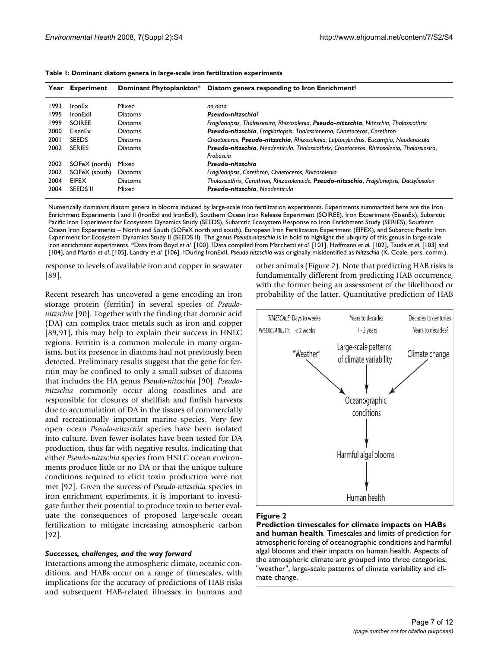| Year        | <b>Experiment</b> |                | Dominant Phytoplankton* Diatom genera responding to Iron Enrichment <sup>§</sup>                              |
|-------------|-------------------|----------------|---------------------------------------------------------------------------------------------------------------|
| 1993        | IronEx            | Mixed          | no data                                                                                                       |
| 1995        | <b>IronExII</b>   | <b>Diatoms</b> | Pseudo-nitzschiat                                                                                             |
| 1999        | <b>SOIREE</b>     | <b>Diatoms</b> | Fragilariopsis, Thalassiosira, Rhizosolenia, <b>Pseudo-nitzschia</b> , Nitzschia, Thalassiothrix              |
| 2000        | EisenEx           | <b>Diatoms</b> | Pseudo-nitzschia, Fragilariopsis, Thalassionema, Chaetoceros, Corethron                                       |
| <b>2001</b> | <b>SEEDS</b>      | <b>Diatoms</b> | Chaetoceros, Pseudo-nitzschia, Rhizosolenia, Leptocylindrus, Eucampia, Neodenticula                           |
| 2002        | <b>SERIES</b>     | <b>Diatoms</b> | <b>Pseudo-nitzschia.</b> Neodenticula. Thalassiothrix. Chaetoceros. Rhizosolenia. Thalassiosira.<br>Proboscia |
| 2002        | SOFeX (north)     | Mixed          | Pseudo-nitzschia                                                                                              |
| 2002        | SOFeX (south)     | <b>Diatoms</b> | Fragilariopsis, Corethron, Chaetoceros, Rhizosolenia                                                          |
| 2004        | <b>EIFEX</b>      | <b>Diatoms</b> | Thalassiothrix, Corethron, Rhizosolenoids, Pseudo-nitzschia, Fragilariopsis, Dactyliosolen                    |
| 2004        | SEEDS II          | Mixed          | Pseudo-nitzschia, Neodenticula                                                                                |

Numerically dominant diatom genera in blooms induced by large-scale iron fertilization experiments. Experiments summarized here are the Iron Enrichment Experiments I and II (IronExI and IronExII), Southern Ocean Iron Release Experiment (SOIREE), Iron Experiment (EisenEx), Subarctic Pacific Iron Experiment for Ecosystem Dynamics Study (SEEDS), Subarctic Ecosystem Response to Iron Enrichment Study (SERIES), Southern Ocean Iron Experiments – North and South (SOFeX north and south), European Iron Fertilization Experiment (EIFEX), and Subarctic Pacific Iron Experiment for Ecosystem Dynamics Study II (SEEDS II). The genus *Pseudo-nitzschia* is in bold to highlight the ubiquity of this genus in large-scale iron enrichment experiments. \*Data from Boyd *et al.* [100]. §Data compiled from Marchetti *et al.* [101], Hoffmann *et al.* [102], Tsuda *et al.* [103] and [104], and Martin *et al.* [105], Landry *et al.* [106]. †During IronExII, *Pseudo-nitzschia* was originally misidentified as *Nitzschia* (K. Coale, pers. comm.).

response to levels of available iron and copper in seawater [89].

Recent research has uncovered a gene encoding an iron storage protein (ferritin) in several species of *Pseudonitzschia* [90]. Together with the finding that domoic acid (DA) can complex trace metals such as iron and copper [89,91], this may help to explain their success in HNLC regions. Ferritin is a common molecule in many organisms, but its presence in diatoms had not previously been detected. Preliminary results suggest that the gene for ferritin may be confined to only a small subset of diatoms that includes the HA genus *Pseudo-nitzschia* [90]. *Pseudonitzschia* commonly occur along coastlines and are responsible for closures of shellfish and finfish harvests due to accumulation of DA in the tissues of commercially and recreationally important marine species. Very few open ocean *Pseudo-nitzschia* species have been isolated into culture. Even fewer isolates have been tested for DA production, thus far with negative results, indicating that either *Pseudo-nitzschia* species from HNLC ocean environments produce little or no DA or that the unique culture conditions required to elicit toxin production were not met [92]. Given the success of *Pseudo-nitzschia* species in iron enrichment experiments, it is important to investigate further their potential to produce toxin to better evaluate the consequences of proposed large-scale ocean fertilization to mitigate increasing atmospheric carbon [92].

#### *Successes, challenges, and the way forward*

Interactions among the atmospheric climate, oceanic conditions, and HABs occur on a range of timescales, with implications for the accuracy of predictions of HAB risks and subsequent HAB-related illnesses in humans and other animals (Figure 2). Note that predicting HAB risks is fundamentally different from predicting HAB occurrence, with the former being an assessment of the likelihood or probability of the latter. Quantitative prediction of HAB



### **Figure 2**

**Prediction timescales for climate impacts on HABs and human health**. Timescales and limits of prediction for atmospheric forcing of oceanographic conditions and harmful algal blooms and their impacts on human health. Aspects of the atmospheric climate are grouped into three categories; "weather", large-scale patterns of climate variability and climate change.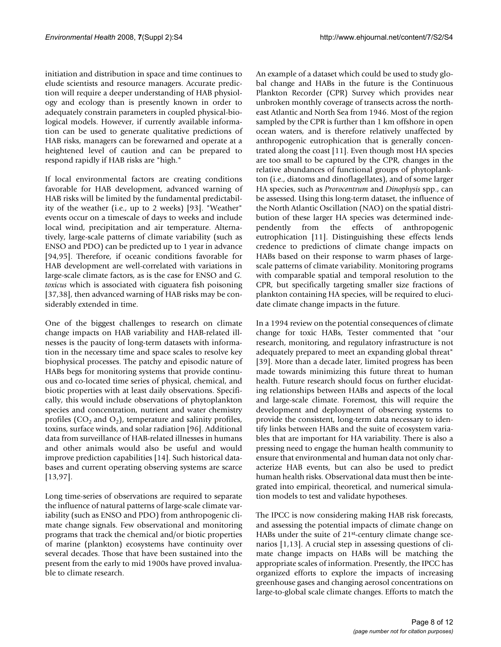initiation and distribution in space and time continues to elude scientists and resource managers. Accurate prediction will require a deeper understanding of HAB physiology and ecology than is presently known in order to adequately constrain parameters in coupled physical-biological models. However, if currently available information can be used to generate qualitative predictions of HAB risks, managers can be forewarned and operate at a heightened level of caution and can be prepared to respond rapidly if HAB risks are "high."

If local environmental factors are creating conditions favorable for HAB development, advanced warning of HAB risks will be limited by the fundamental predictability of the weather (i.e., up to 2 weeks) [93]. "Weather" events occur on a timescale of days to weeks and include local wind, precipitation and air temperature. Alternatively, large-scale patterns of climate variability (such as ENSO and PDO) can be predicted up to 1 year in advance [94,95]. Therefore, if oceanic conditions favorable for HAB development are well-correlated with variations in large-scale climate factors, as is the case for ENSO and *G. toxicus* which is associated with ciguatera fish poisoning [37,38], then advanced warning of HAB risks may be considerably extended in time.

One of the biggest challenges to research on climate change impacts on HAB variability and HAB-related illnesses is the paucity of long-term datasets with information in the necessary time and space scales to resolve key biophysical processes. The patchy and episodic nature of HABs begs for monitoring systems that provide continuous and co-located time series of physical, chemical, and biotic properties with at least daily observations. Specifically, this would include observations of phytoplankton species and concentration, nutrient and water chemistry profiles  $(CO_2$  and  $O_2$ ), temperature and salinity profiles, toxins, surface winds, and solar radiation [96]. Additional data from surveillance of HAB-related illnesses in humans and other animals would also be useful and would improve prediction capabilities [14]. Such historical databases and current operating observing systems are scarce [13,97].

Long time-series of observations are required to separate the influence of natural patterns of large-scale climate variability (such as ENSO and PDO) from anthropogenic climate change signals. Few observational and monitoring programs that track the chemical and/or biotic properties of marine (plankton) ecosystems have continuity over several decades. Those that have been sustained into the present from the early to mid 1900s have proved invaluable to climate research.

An example of a dataset which could be used to study global change and HABs in the future is the Continuous Plankton Recorder (CPR) Survey which provides near unbroken monthly coverage of transects across the northeast Atlantic and North Sea from 1946. Most of the region sampled by the CPR is further than 1 km offshore in open ocean waters, and is therefore relatively unaffected by anthropogenic eutrophication that is generally concentrated along the coast [11]. Even though most HA species are too small to be captured by the CPR, changes in the relative abundances of functional groups of phytoplankton (i.e., diatoms and dinoflagellates), and of some larger HA species, such as *Prorocentrum* and *Dinophysis* spp., can be assessed. Using this long-term dataset, the influence of the North Atlantic Oscillation (NAO) on the spatial distribution of these larger HA species was determined independently from the effects of anthropogenic eutrophication [11]. Distinguishing these effects lends credence to predictions of climate change impacts on HABs based on their response to warm phases of largescale patterns of climate variability. Monitoring programs with comparable spatial and temporal resolution to the CPR, but specifically targeting smaller size fractions of plankton containing HA species, will be required to elucidate climate change impacts in the future.

In a 1994 review on the potential consequences of climate change for toxic HABs, Tester commented that "our research, monitoring, and regulatory infrastructure is not adequately prepared to meet an expanding global threat" [39]. More than a decade later, limited progress has been made towards minimizing this future threat to human health. Future research should focus on further elucidating relationships between HABs and aspects of the local and large-scale climate. Foremost, this will require the development and deployment of observing systems to provide the consistent, long-term data necessary to identify links between HABs and the suite of ecosystem variables that are important for HA variability. There is also a pressing need to engage the human health community to ensure that environmental and human data not only characterize HAB events, but can also be used to predict human health risks. Observational data must then be integrated into empirical, theoretical, and numerical simulation models to test and validate hypotheses.

The IPCC is now considering making HAB risk forecasts, and assessing the potential impacts of climate change on HABs under the suite of 21st-century climate change scenarios [1,13]. A crucial step in assessing questions of climate change impacts on HABs will be matching the appropriate scales of information. Presently, the IPCC has organized efforts to explore the impacts of increasing greenhouse gases and changing aerosol concentrations on large-to-global scale climate changes. Efforts to match the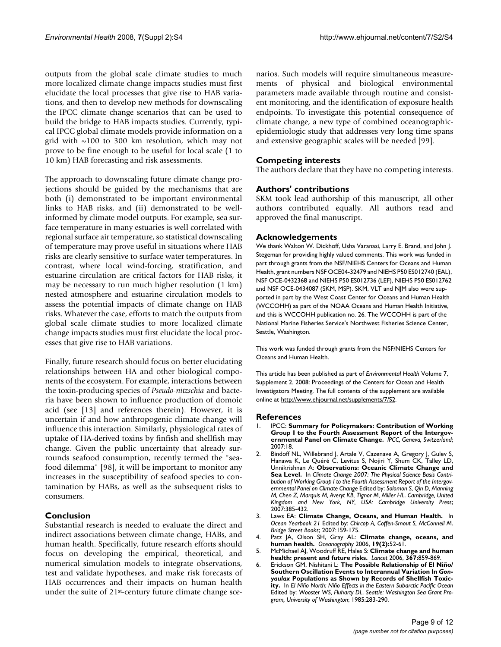outputs from the global scale climate studies to much more localized climate change impacts studies must first elucidate the local processes that give rise to HAB variations, and then to develop new methods for downscaling the IPCC climate change scenarios that can be used to build the bridge to HAB impacts studies. Currently, typical IPCC global climate models provide information on a grid with  $\sim$ 100 to 300 km resolution, which may not prove to be fine enough to be useful for local scale (1 to 10 km) HAB forecasting and risk assessments.

The approach to downscaling future climate change projections should be guided by the mechanisms that are both (i) demonstrated to be important environmental links to HAB risks, and (ii) demonstrated to be wellinformed by climate model outputs. For example, sea surface temperature in many estuaries is well correlated with regional surface air temperature, so statistical downscaling of temperature may prove useful in situations where HAB risks are clearly sensitive to surface water temperatures. In contrast, where local wind-forcing, stratification, and estuarine circulation are critical factors for HAB risks, it may be necessary to run much higher resolution (1 km) nested atmosphere and estuarine circulation models to assess the potential impacts of climate change on HAB risks. Whatever the case, efforts to match the outputs from global scale climate studies to more localized climate change impacts studies must first elucidate the local processes that give rise to HAB variations.

Finally, future research should focus on better elucidating relationships between HA and other biological components of the ecosystem. For example, interactions between the toxin-producing species of *Pseudo-nitzschia* and bacteria have been shown to influence production of domoic acid (see [13] and references therein). However, it is uncertain if and how anthropogenic climate change will influence this interaction. Similarly, physiological rates of uptake of HA-derived toxins by finfish and shellfish may change. Given the public uncertainty that already surrounds seafood consumption, recently termed the "seafood dilemma" [98], it will be important to monitor any increases in the susceptibility of seafood species to contamination by HABs, as well as the subsequent risks to consumers.

### **Conclusion**

Substantial research is needed to evaluate the direct and indirect associations between climate change, HABs, and human health. Specifically, future research efforts should focus on developing the empirical, theoretical, and numerical simulation models to integrate observations, test and validate hypotheses, and make risk forecasts of HAB occurrences and their impacts on human health under the suite of 21st-century future climate change scenarios. Such models will require simultaneous measurements of physical and biological environmental parameters made available through routine and consistent monitoring, and the identification of exposure health endpoints. To investigate this potential consequence of climate change, a new type of combined oceanographicepidemiologic study that addresses very long time spans and extensive geographic scales will be needed [99].

### **Competing interests**

The authors declare that they have no competing interests.

#### **Authors' contributions**

SKM took lead authorship of this manuscript, all other authors contributed equally. All authors read and approved the final manuscript.

#### **Acknowledgements**

We thank Walton W. Dickhoff, Usha Varanasi, Larry E. Brand, and John J. Stegeman for providing highly valued comments. This work was funded in part through grants from the NSF/NIEHS Centers for Oceans and Human Health, grant numbers NSF OCE04-32479 and NIEHS P50 ES012740 (EAL), NSF OCE-0432368 and NIEHS P50 ES012736 (LEF), NIEHS P50 ES012762 and NSF OCE-0434087 (SKM, MSP). SKM, VLT and NJM also were supported in part by the West Coast Center for Oceans and Human Health (WCCOHH) as part of the NOAA Oceans and Human Health Initiative, and this is WCCOHH publication no. 26. The WCCOHH is part of the National Marine Fisheries Service's Northwest Fisheries Science Center, Seattle, Washington.

This work was funded through grants from the NSF/NIEHS Centers for Oceans and Human Health.

This article has been published as part of *Environmental Health* Volume 7, Supplement 2, 2008: Proceedings of the Centers for Ocean and Health Investigators Meeting. The full contents of the supplement are available online at<http://www.ehjournal.net/supplements/7/S2>.

#### **References**

- 1. IPCC: **Summary for Policymakers: Contribution of Working Group I to the Fourth Assessment Report of the Intergovernmental Panel on Climate Change.** *IPCC, Geneva, Switzerland*; 2007:18.
- 2. Bindoff NL, Willebrand J, Artale V, Cazenave A, Gregory J, Gulev S, Hanawa K, Le Quéré C, Levitus S, Nojiri Y, Shum CK, Talley LD, Unnikrishnan A: **Observations: Oceanic Climate Change and Sea Level.** In *Climate Change 2007: The Physical Science Basis Contribution of Working Group I to the Fourth Assessment Report of the Intergovernmental Panel on Climate Change* Edited by: *Solomon S, Qin D, Manning M, Chen Z, Marquis M, Averyt KB, Tignor M, Miller HL*. *Cambridge, United Kingdom and New York, NY, USA: Cambridge University Press*; 2007:385-432.
- 3. Laws EA: **Climate Change, Oceans, and Human Health.** In *Ocean Yearbook 21* Edited by: *Chircop A, Coffen-Smout S, McConnell M*. *Bridge Street Books*; 2007:159-175.
- 4. Patz JA, Olson SH, Gray AL: **Climate change, oceans, and human health.** *Oceanography* 2006, **19(2):**52-61.
- 5. McMichael AJ, Woodruff RE, Hales S: **[Climate change and human](http://www.ncbi.nlm.nih.gov/entrez/query.fcgi?cmd=Retrieve&db=PubMed&dopt=Abstract&list_uids=16530580) [health: present and future risks.](http://www.ncbi.nlm.nih.gov/entrez/query.fcgi?cmd=Retrieve&db=PubMed&dopt=Abstract&list_uids=16530580)** *Lancet* 2006, **367:**859-869.
- 6. Erickson GM, Nishitani L: **The Possible Relationship of El Niño/ Southern Oscillation Events to Interannual Variation In** *Gonyaulax* **Populations as Shown by Records of Shellfish Toxicity.** In *El Niño North: Niño Effects in the Eastern Subarctic Pacific Ocean* Edited by: *Wooster WS, Fluharty DL*. *Seattle: Washington Sea Grant Program, University of Washington*; 1985:283-290.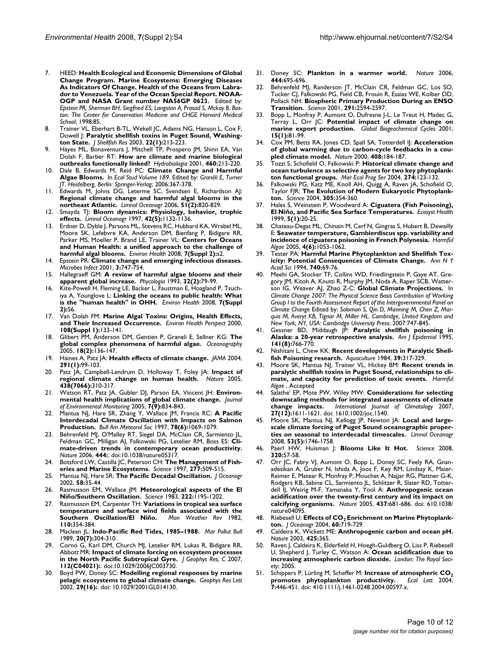- 7. HEED: **Health Ecological and Economic Dimensions of Global Change Program. Marine Ecosystems: Emerging Diseases As Indicators Of Change. Health of the Oceans from Labrador to Venezuela. Year of the Ocean Special Report. NOAA-OGP and NASA Grant number NA56GP 0623.** Edited by: *Epstein PR, Sherman BH, Siegfried ES, Langston A, Prasad S, Mckay B*. *Boston: The Center for Conservation Medicine and CHGE Harvard Medical School*; 1998:85.
- 8. Trainer VL, Eberhart B-TL, Wekell JC, Adams NG, Hanson L, Cox F, Dowell J: **Paralytic shellfish toxins in Puget Sound, Washington State.** *J Shellfish Res* 2003, **22(1):**213-223.
- Hayes ML, Bonaventura J, Mitchell TP, Prospero JM, Shinn EA, Van Dolah F, Barber RT: **How are climate and marine biological outbreaks functionally linked?** *Hydrobiologia* 2001, **460:**213-220.
- 10. Dale B, Edwards M, Reid PC: **Climate Change and Harmful Algae Blooms.** In *Ecol Stud Volume 189*. Edited by: *Granéli E, Turner JT*. *Heidelberg, Berlin: Springer-Verlag*; 2006:367-378.
- 11. Edwards M, Johns DG, Leterme SC, Svendsen E, Richardson AJ: **Regional climate change and harmful algal blooms in the northeast Atlantic.** *Limnol Oceanogr* 2006, **51(2):**820-829.
- 12. Smayda TJ: **Bloom dynamics: Physiology, behavior, trophic effects.** *Limnol Oceanogr* 1997, **42(5):**1132-1136.
- 13. Erdner D, Dyble J, Parsons ML, Stevens RC, Hubbard KA, Wrabel ML, Moore SK, Lefebvre KA, Anderson DM, Bienfang P, Bidigare RR, Parker MS, Moeller P, Brand LE, Trainer VL: **Centers for Oceans and Human Health: a unified approach to the challenge of harmful algal blooms.** *Environ Health* 2008, **7(Suppl 2):**s2.
- 14. Epstein PR: **[Climate change and emerging infectious diseases.](http://www.ncbi.nlm.nih.gov/entrez/query.fcgi?cmd=Retrieve&db=PubMed&dopt=Abstract&list_uids=11489423)** *Microbes Infect* 2001, **3:**747-754.
- 15. Hallegraeff GM: **A review of harmful algae blooms and their apparent global increase.** *Phycologia* 1993, **32(2):**79-99.
- 16. Kite-Powell H, Fleming LE, Backer L, Faustman E, Hoagland P, Tsuchiya A, Younglove L: **Linking the oceans to public health: What is the "human health" in OHH.** *Environ Health* 2008, **7(Suppl 2):**S6.
- 17. Van Dolah FM: **[Marine Algal Toxins: Origins, Health Effects,](http://www.ncbi.nlm.nih.gov/entrez/query.fcgi?cmd=Retrieve&db=PubMed&dopt=Abstract&list_uids=10698729) [and Their Increased Occurrence.](http://www.ncbi.nlm.nih.gov/entrez/query.fcgi?cmd=Retrieve&db=PubMed&dopt=Abstract&list_uids=10698729)** *Environ Health Perspect* 2000, **108(Suppl 1):**133-141.
- 18. Glibert PM, Anderson DM, Gentien P, Graneli E, Sellner KG: **The global complex phenomena of harmful algae.** *Oceanography* 2005, **18(2):**136-147.
- 19. Haines A, Patz JA: **[Health effects of climate change.](http://www.ncbi.nlm.nih.gov/entrez/query.fcgi?cmd=Retrieve&db=PubMed&dopt=Abstract&list_uids=14709582)** *JAMA* 2004, **291(1):**99-103.
- 20. Patz JA, Campbell-Lendrum D, Holloway T, Foley JA: **[Impact of](http://www.ncbi.nlm.nih.gov/entrez/query.fcgi?cmd=Retrieve&db=PubMed&dopt=Abstract&list_uids=16292302) [regional climate change on human health.](http://www.ncbi.nlm.nih.gov/entrez/query.fcgi?cmd=Retrieve&db=PubMed&dopt=Abstract&list_uids=16292302)** *Nature* 2005, **438(7066):**310-317.
- 21. Watson RT, Patz JA, Gubler DJ, Parson EA, Vincent JH: **[Environ](http://www.ncbi.nlm.nih.gov/entrez/query.fcgi?cmd=Retrieve&db=PubMed&dopt=Abstract&list_uids=16121261)[mental health implications of global climate change.](http://www.ncbi.nlm.nih.gov/entrez/query.fcgi?cmd=Retrieve&db=PubMed&dopt=Abstract&list_uids=16121261)** *Journal of Environmental Monitoring* 2005, **7(9):**834-843.
- 22. Mantua NJ, Hare SR, Zhang Y, Wallace JM, Francis RC: **A Pacific Interdecadal Climate Oscillation with Impacts on Salmon Production.** *Bull Am Meteorol Soc* 1997, **78(6):**1069-1079.
- 23. Behrenfeld MJ, O'Malley RT, Siegel DA, McClain CR, Sarmiento JL, Feldman GC, Milligan AJ, Falkowski PG, Letelier RM, Boss ES: **[Cli](http://www.ncbi.nlm.nih.gov/entrez/query.fcgi?cmd=Retrieve&db=PubMed&dopt=Abstract&list_uids=17151666)[mate-driven trends in contemporary ocean productivity.](http://www.ncbi.nlm.nih.gov/entrez/query.fcgi?cmd=Retrieve&db=PubMed&dopt=Abstract&list_uids=17151666)** *Nature* 2006, **444:**. doi:10.1038/nature05317.
- 24. Botsford LW, Castilla JC, Peterson CH: **The Management of Fisheries and Marine Ecosystems.** *Science* 1997, **277:**509-515.
- 25. Mantua NJ, Hare SR: **The Pacific Decadal Oscillation.** *J Oceanogr* 2002, **58:**35-44.
- 26. Rasmusson EM, Wallace JM: **[Meteorological aspects of the El](http://www.ncbi.nlm.nih.gov/entrez/query.fcgi?cmd=Retrieve&db=PubMed&dopt=Abstract&list_uids=17806710) [Niño/Southern Oscillation.](http://www.ncbi.nlm.nih.gov/entrez/query.fcgi?cmd=Retrieve&db=PubMed&dopt=Abstract&list_uids=17806710)** *Science* 1983, **222:**1195-1202.
- 27. Rasmusson EM, Carpenter TH: **Variations in tropical sea surface temperature and surface wind fields associated with the Southern Oscillation/El Niño. 110:**354-384.
- 28. Maclean JL: **Indo-Pacific Red Tides, 1985–1988.** *Mar Pollut Bull* 1989, **20(7):**304-310.
- 29. Corno G, Karl DM, Church MJ, Letelier RM, Lukas R, Bidigare RR, Abbott MR: **Impact of climate forcing on ecosystem processes in the North Pacific Subtropical Gyre.** *J Geophys Res, C* 2007, **112(C04021):**. doi:10.1029/2006JC003730.
- 30. Boyd PW, Doney SC: **Modelling regional responses by marine pelagic ecosystems to global climate change.** *Geophys Res Lett* 2002, **29(16):**. doi: 10.1029/2001GL014130.
- 31. Doney SC: **[Plankton in a warmer world.](http://www.ncbi.nlm.nih.gov/entrez/query.fcgi?cmd=Retrieve&db=PubMed&dopt=Abstract&list_uids=17151650)** *Nature* 2006, **444:**695-696.
- 32. Behrenfeld MJ, Randerson JT, McClain CR, Feldman GC, Los SO, Tucker CJ, Falkowski PG, Field CB, Frouin R, Esaias WE, Kolber DD, Pollack NH: **[Biospheric Primary Production During an ENSO](http://www.ncbi.nlm.nih.gov/entrez/query.fcgi?cmd=Retrieve&db=PubMed&dopt=Abstract&list_uids=11283369) [Transition.](http://www.ncbi.nlm.nih.gov/entrez/query.fcgi?cmd=Retrieve&db=PubMed&dopt=Abstract&list_uids=11283369)** *Science* 2001, **291:**2594-2597.
- 33. Bopp L, Monfray P, Aumont O, Dufresne J-L, Le Treut H, Madec G, Terray L, Orr JC: **Potential impact of climate change on marine export production.** *Global Biogeochemical Cycles* 2001, **15(1):**81-99.
- 34. Cox PM, Betts RA, Jones CD, Spall SA, Totterdell IJ: **[Acceleration](http://www.ncbi.nlm.nih.gov/entrez/query.fcgi?cmd=Retrieve&db=PubMed&dopt=Abstract&list_uids=11089968) [of global warming due to carbon-cycle feedbacks in a cou](http://www.ncbi.nlm.nih.gov/entrez/query.fcgi?cmd=Retrieve&db=PubMed&dopt=Abstract&list_uids=11089968)[pled climate model.](http://www.ncbi.nlm.nih.gov/entrez/query.fcgi?cmd=Retrieve&db=PubMed&dopt=Abstract&list_uids=11089968)** *Nature* 2000, **408:**184-187.
- 35. Tozzi S, Schofield O, Falkowski P: **Historical climate change and ocean turbulence as selective agents for two key phytoplankton functional groups.** *Mar Ecol Prog Ser* 2004, **274:**123-132.
- Falkowski PG, Katz ME, Knoll AH, Quigg A, Raven JA, Schofield O, Taylor FJR: **[The Evolution of Modern Eukaryotic Phytoplank](http://www.ncbi.nlm.nih.gov/entrez/query.fcgi?cmd=Retrieve&db=PubMed&dopt=Abstract&list_uids=15256663)[ton.](http://www.ncbi.nlm.nih.gov/entrez/query.fcgi?cmd=Retrieve&db=PubMed&dopt=Abstract&list_uids=15256663)** *Science* 2004, **305:**354-360.
- 37. Hales S, Weinstein P, Woodward A: **Ciguatera (Fish Poisoning), El Niño, and Pacific Sea Surface Temperatures.** *Ecosyst Health* 1999, **5(1):**20-25.
- 38. Chateau-Degat ML, Chinain M, Cerf N, Gingras S, Hubert B, Dewailly E: **Seawater temperature, Gambierdiscus spp. variability and incidence of ciguatera poisoning in French Polynesia.** *Harmful Algae* 2005, **4(6):**1053-1062.
- Tester PA: [Harmful Marine Phytoplankton and Shellfish Tox](http://www.ncbi.nlm.nih.gov/entrez/query.fcgi?cmd=Retrieve&db=PubMed&dopt=Abstract&list_uids=7840480)**[icity: Potential Consequences of Climate Change.](http://www.ncbi.nlm.nih.gov/entrez/query.fcgi?cmd=Retrieve&db=PubMed&dopt=Abstract&list_uids=7840480)** *Ann N Y Acad Sci* 1994, **740:**69-76.
- 40. Meehi GA, Stocker TF, Collins WD, Friedlingstein P, Gaye AT, Gregory JM, Kitoh A, Knutti R, Murphy JM, Noda A, Raper SCB, Watterson IG, Weaver AJ, Zhao Z-C: **Global Climate Projections.** In *Climate Change 2007: The Physical Science Basis Contribution of Working Group I to the Fourth Assessment Report of the Intergovernmental Panel on Climate Change* Edited by: *Solomon S, Qin D, Manning M, Chen Z, Marquis M, Averyt KB, Tignor M, Miller HL*. *Cambridge, United Kingdom and New York, NY, USA: Cambridge University Press*; 2007:747-845.
- 41. Gessner BD, Middaugh JP: **[Paralytic shellfish poisoning in](http://www.ncbi.nlm.nih.gov/entrez/query.fcgi?cmd=Retrieve&db=PubMed&dopt=Abstract&list_uids=7709919) [Alaska: a 20-year retrospective analysis.](http://www.ncbi.nlm.nih.gov/entrez/query.fcgi?cmd=Retrieve&db=PubMed&dopt=Abstract&list_uids=7709919)** *Am J Epidemiol* 1995, **141(8):**766-770.
- 42. Nishitani L, Chew KK: **Recent developments in Paralytic Shellfish Poisoning research.** *Aquaculture* 1984, **39:**317-329.
- 43. Moore SK, Mantua NJ, Trainer VL, Hickey BM: **[Recent trends in](http://www.ncbi.nlm.nih.gov/entrez/query.fcgi?cmd=Retrieve&db=PubMed&dopt=Abstract&list_uids=18437245) [paralytic shellfish toxins in Puget Sound, relationships to cli](http://www.ncbi.nlm.nih.gov/entrez/query.fcgi?cmd=Retrieve&db=PubMed&dopt=Abstract&list_uids=18437245)[mate, and capacity for prediction of toxic events.](http://www.ncbi.nlm.nih.gov/entrez/query.fcgi?cmd=Retrieve&db=PubMed&dopt=Abstract&list_uids=18437245)** *Harmful Algae* . Accepted
- 44. Salathe' EP, Mote PW, Wiley MW: **Considerations for selecting downscaling methods for integrated assessments of climate change impacts.** *International Journal of Climatology* 2007, **27(12):**1611-1621. doi: 1610.1002/joc.1540.
- 45. Moore SK, Mantua NJ, Kellogg JP, Newton JA: **Local and largescale climate forcing of Puget Sound oceanographic properties on seasonal to interdecadal timescales.** *Limnol Oceanogr* 2008, **53(5):**1746-1758.
- 46. Paerl HW, Huisman J: **[Blooms Like It Hot.](http://www.ncbi.nlm.nih.gov/entrez/query.fcgi?cmd=Retrieve&db=PubMed&dopt=Abstract&list_uids=18388279)** *Science* 2008, **320:**57-58.
- 47. Orr JC, Fabry VJ, Aumont O, Bopp L, Doney SC, Feely RA, Gnanadesikan A, Gruber N, Ishida A, Joos F, Key RM, Lindsay K, Maier-Reimer E, Matear R, Monfray P, Mouchet A, Najjar RG, Plattner G-K, Rodgers KB, Sabine CL, Sarmiento JL, Schlitzer R, Slater RD, Totterdell IJ, Weirig M-F, Yamanaka Y, Yool A: **[Anthropogenic ocean](http://www.ncbi.nlm.nih.gov/entrez/query.fcgi?cmd=Retrieve&db=PubMed&dopt=Abstract&list_uids=16193043) [acidification over the twenty-first century and its impact on](http://www.ncbi.nlm.nih.gov/entrez/query.fcgi?cmd=Retrieve&db=PubMed&dopt=Abstract&list_uids=16193043) [calcifying organisms.](http://www.ncbi.nlm.nih.gov/entrez/query.fcgi?cmd=Retrieve&db=PubMed&dopt=Abstract&list_uids=16193043)** *Nature* 2005, **437:**681-686. doi: 610.1038/ nature04095.
- 48. Riebesell U: Effects of CO<sub>2</sub> Enrichment on Marine Phytoplank**ton.** *J Oceanogr* 2004, **60:**719-729.
- 49. Caldeira K, Wickett ME: **[Anthropogenic carbon and ocean pH.](http://www.ncbi.nlm.nih.gov/entrez/query.fcgi?cmd=Retrieve&db=PubMed&dopt=Abstract&list_uids=14508477)** *Nature* 2003, **425:**365.
- 50. Raven J, Caldeira K, Elderfield H, Hoegh-Guldberg O, Liss P, Riebesell U, Shepherd J, Turley C, Watson A: **Ocean acidification due to increasing atmospheric carbon dioxide.** *London: The Royal Society*; 2005.
- 51. Schippers P, Lürling M, Scheffer M: **Increase of atmospheric CO<sub>2</sub>**<br>**promotes phytoplankton productivity.** Ecol Lett 2004, promotes phytoplankton productivity. **7:**446-451. doi: 410.1111/j.1461-0248.2004.00597.x.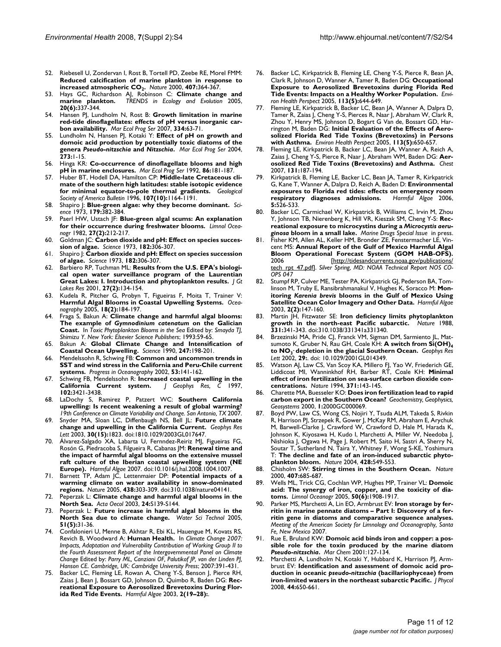- 52. Riebesell U, Zondervan I, Rost B, Tortell PD, Zeebe RE, Morel FMM: **Reduced calcification of marine plankton in response to increased atmospheric CO[2.](http://www.ncbi.nlm.nih.gov/entrez/query.fcgi?cmd=Retrieve&db=PubMed&dopt=Abstract&list_uids=11014189)** *Nature* 2000, **407:**364-367.
- 53. Hays GC, Richardson AJ, Robinson C: **Climate change and marine plankton.** *TRENDS in Ecology and Evolution* 2005, **marine** plankton.<br>**20(6):**337-344.
- 54. Hansen PJ, Lundholm N, Rost B: **Growth limitation in marine red-tide dinoflagellates: effects of pH versus inorganic carbon availability.** *Mar Ecol Prog Ser* 2007, **334:**63-71.
- 55. Lundholm N, Hansen PJ, Kotaki Y: **Effect of pH on growth and domoic acid production by potentially toxic diatoms of the genera** *Pseudo-nitzschia* **and** *Nitzschia***.** *Mar Ecol Prog Ser* 2004, **273:**1-15.
- 56. Hinga KR: **Co-occurrence of dinoflagellate blooms and high pH in marine enclosures.** *Mar Ecol Prog Ser* 1992, **86:**181-187.
- 57. Huber BT, Hodell DA, Hamilton CP: **Middle-late Cretaceous climate of the southern high latitudes: stable isotopic evidence for minimal equator-to-pole thermal gradients.** *Geological Society of America Bulletin* 1996, **107(10):**1164-1191.
- 58. Shapiro J: **[Blue-green algae: why they become dominant.](http://www.ncbi.nlm.nih.gov/entrez/query.fcgi?cmd=Retrieve&db=PubMed&dopt=Abstract&list_uids=4630211)** *Science* 1973, **179:**382-384.
- 59. Paerl HW, Ustach JF: **Blue-green algal scums: An explanation for their occurrence during freshwater blooms.** *Limnol Oceanogr* 1982, **27(2):**212-217.
- 60. Goldman JC: **[Carbon dioxide and pH: Effect on species succes](http://www.ncbi.nlm.nih.gov/entrez/query.fcgi?cmd=Retrieve&db=PubMed&dopt=Abstract&list_uids=4200507)[sion of algae.](http://www.ncbi.nlm.nih.gov/entrez/query.fcgi?cmd=Retrieve&db=PubMed&dopt=Abstract&list_uids=4200507)** *Science* 1973, **182:**306-307.
- 61. Shapiro J: **[Carbon dioxide and pH: Effect on species succession](http://www.ncbi.nlm.nih.gov/entrez/query.fcgi?cmd=Retrieve&db=PubMed&dopt=Abstract&list_uids=4200507) [of algae.](http://www.ncbi.nlm.nih.gov/entrez/query.fcgi?cmd=Retrieve&db=PubMed&dopt=Abstract&list_uids=4200507)** *Science* 1973, **182:**306-307.
- 62. Barbiero RP, Tuchman ML: **Results from the U.S. EPA's biological open water surveillance program of the Laurentian Great Lakes: I. Introduction and phytoplankton results.** *J Gt Lakes Res* 2001, **27(2):**134-154.
- 63. Kudela R, Pitcher G, Probyn T, Figueiras F, Moita T, Trainer V: **Harmful Algal Blooms in Coastal Upwelling Systems.** *Oceanography* 2005, **18(2):**184-197.
- 64. Fraga S, Bakun A: **Climate change and harmful algal blooms: The example of** *Gymnodinium catenatum* **on the Galician Coast.** In *Toxic Phytoplankton Blooms in the Sea* Edited by: *Smayda TJ, Shimizu Y*. *New York: Elsevier Science Publishers*; 1993:59-65.
- 65. Bakun A: **[Global Climate Change and Intensification of](http://www.ncbi.nlm.nih.gov/entrez/query.fcgi?cmd=Retrieve&db=PubMed&dopt=Abstract&list_uids=17813287) [Coastal Ocean Upwelling.](http://www.ncbi.nlm.nih.gov/entrez/query.fcgi?cmd=Retrieve&db=PubMed&dopt=Abstract&list_uids=17813287)** *Science* 1990, **247:**198-201.
- 66. Mendelssohn R, Schwing FB: **Common and uncommon trends in SST and wind stress in the California and Peru-Chile current systems.** *Progress in Oceanography* 2002, **53:**141-162.
- 67. Schwing FB, Mendelssohn R: **Increased coastal upwelling in the California Current system. 102:**3421-3438.
- 68. LaDochy S, Ramirez P, Patzert WC: **Southern California upwelling: Is recent weakening a result of global warming?** *19th Conference on Climate Variability and Change. San Antonio, TX* 2007.
- 69. Snyder MA, Sloan LC, Diffenbaugh NS, Bell JL: **Future climate change and upwelling in the California Current.** *Geophys Res Lett* 2003, **30(15):**1823. doi:1810.1029/2003GL017647.
- 70. Álvarez-Salgado XA, Labarta U, Fernndez-Reiriz MJ, Figueiras FG, Rosón G, Piedracoba S, Filgueira R, Cabanas JM: **[Renewal time and](http://www.ncbi.nlm.nih.gov/entrez/query.fcgi?cmd=Retrieve&db=PubMed&dopt=Abstract&list_uids=18437245) [the impact of harmful algal blooms on the extensive mussel](http://www.ncbi.nlm.nih.gov/entrez/query.fcgi?cmd=Retrieve&db=PubMed&dopt=Abstract&list_uids=18437245) raft culture of the Iberian coastal upwelling system (NE [Europe\).](http://www.ncbi.nlm.nih.gov/entrez/query.fcgi?cmd=Retrieve&db=PubMed&dopt=Abstract&list_uids=18437245)** *Harmful Algae* 2007. doi:10.1016/j.hal.2008.1004.1007.
- 71. Barnett TP, Adam JC, Lettenmaier DP: **[Potential impacts of a](http://www.ncbi.nlm.nih.gov/entrez/query.fcgi?cmd=Retrieve&db=PubMed&dopt=Abstract&list_uids=16292301) [warming climate on water availability in snow-dominated](http://www.ncbi.nlm.nih.gov/entrez/query.fcgi?cmd=Retrieve&db=PubMed&dopt=Abstract&list_uids=16292301) [regions.](http://www.ncbi.nlm.nih.gov/entrez/query.fcgi?cmd=Retrieve&db=PubMed&dopt=Abstract&list_uids=16292301)** *Nature* 2005, **438:**303-309. doi:310.1038/nature04141.
- 72. Peperzak L: **Climate change and harmful algal blooms in the North Sea.** *Acta Oecol* 2003, **24:**S139-S144.
- 73. Peperzak L: **[Future increase in harmful algal blooms in the](http://www.ncbi.nlm.nih.gov/entrez/query.fcgi?cmd=Retrieve&db=PubMed&dopt=Abstract&list_uids=15918356) [North Sea due to climate change.](http://www.ncbi.nlm.nih.gov/entrez/query.fcgi?cmd=Retrieve&db=PubMed&dopt=Abstract&list_uids=15918356)** *Water Sci Technol* 2005, **51(5):**31-36.
- 74. Confalonieri U, Menne B, Akhtar R, Ebi KL, Hauengue M, Kovats RS, Revich B, Woodward A: **Human Health.** In *Climate Change 2007: Impacts, Adaptation and Vulnerability Contribution of Working Group II to the Fourth Assessment Report of the Intergovernmental Panel on Climate Change* Edited by: *Parry ML, Canziani OF, Palutikof JP, van der Linden PJ, Hanson CE*. *Cambridge, UK: Cambridge University Press*; 2007:391-431.
- Backer LC, Fleming LE, Rowan A, Cheng Y-S, Benson J, Pierce RH, Zaias J, Bean J, Bossart GD, Johnson D, Quimbo R, Baden DG: **Recreational Exposure to Aerosolized Brevetoxins During Florida Red Tide Events.** *Harmful Algae* 2003, **2(19–28):**.
- 76. Backer LC, Kirkpatrick B, Fleming LE, Cheng Y-S, Pierce R, Bean JA, Clark R, Johnson D, Wanner A, Tamer R, Baden DG: **[Occupational](http://www.ncbi.nlm.nih.gov/entrez/query.fcgi?cmd=Retrieve&db=PubMed&dopt=Abstract&list_uids=15866778) [Exposure to Aerosolized Brevetoxins during Florida Red](http://www.ncbi.nlm.nih.gov/entrez/query.fcgi?cmd=Retrieve&db=PubMed&dopt=Abstract&list_uids=15866778) [Tide Events: Impacts on a Healthy Worker Population.](http://www.ncbi.nlm.nih.gov/entrez/query.fcgi?cmd=Retrieve&db=PubMed&dopt=Abstract&list_uids=15866778)** *Environ Health Perspect* 2005, **113(5):**644-649.
- 77. Fleming LE, Kirkpatrick B, Backer LC, Bean JA, Wanner A, Dalpra D, Tamer R, Zaias J, Cheng Y-S, Pierces R, Naar J, Abraham W, Clark R, Zhou Y, Henry MS, Johnson D, Bogart G Van de, Bossart GD, Harrington M, Baden DG: **[Initial Evaluation of the Effects of Aero](http://www.ncbi.nlm.nih.gov/entrez/query.fcgi?cmd=Retrieve&db=PubMed&dopt=Abstract&list_uids=15866779)[solized Florida Red Tide Toxins \(Brevetoxins\) in Persons](http://www.ncbi.nlm.nih.gov/entrez/query.fcgi?cmd=Retrieve&db=PubMed&dopt=Abstract&list_uids=15866779) [with Asthma.](http://www.ncbi.nlm.nih.gov/entrez/query.fcgi?cmd=Retrieve&db=PubMed&dopt=Abstract&list_uids=15866779)** *Environ Health Perspect* 2005, **113(5):**650-657.
- Fleming LE, Kirkpatrick B, Backer LC, Bean JA, Wanner A, Reich A, Zaias J, Cheng Y-S, Pierce R, Naar J, Abraham WM, Baden DG: [Aer](http://www.ncbi.nlm.nih.gov/entrez/query.fcgi?cmd=Retrieve&db=PubMed&dopt=Abstract&list_uids=17218574)**[osolized Red Tide Toxins \(Brevetoxins\) and Asthma.](http://www.ncbi.nlm.nih.gov/entrez/query.fcgi?cmd=Retrieve&db=PubMed&dopt=Abstract&list_uids=17218574)** *Chest* 2007, **131:**187-194.
- 79. Kirkpatrick B, Fleming LE, Backer LC, Bean JA, Tamer R, Kirkpatrick G, Kane T, Wanner A, Dalpra D, Reich A, Baden D: **Environmental exposures to Florida red tides: effects on emergency room respiratory diagnoses admissions.** *Harmful Algae* 2006, **5:**526-533.
- 80. Backer LC, Carmichael W, Kirkpatrick B, Williams C, Irvin M, Zhou Y, Johnson TB, Nierenberg K, Hill VR, Kieszak SM, Cheng Y-S: **Recreational exposure to microcystins during a** *Microcystis aeruginosa* **bloom in a small lake.** *Marine Drugs Special Issue* in press.
- 81. Fisher KM, Allen AL, Keller HM, Bronder ZE, Fenstermacher LE, Vincent MS: **Annual Report of the Gulf of Mexico Harmful Algal Bloom Operational Forecast System (GOM HAB-OFS).** [\[http://tidesandcurrents.noaa.gov/publications/](http://tidesandcurrents.noaa.gov/publications/tech_rpt_47.pdf) [tech\\_rpt\\_47.pdf\]](http://tidesandcurrents.noaa.gov/publications/tech_rpt_47.pdf). *Silver Spring, MD: NOAA Technical Report NOS CO-OPS 047*
- 82. Stumpf RP, Culver ME, Tester PA, Kirkpatrick GJ, Pederson BA, Tomlinson M, Truby E, Ransibrahmanakul V, Hughes K, Soracco M: **Monitoring** *Karenia brevis* **blooms in the Gulf of Mexico Using Satellite Ocean Color Imagery and Other Data.** *Harmful Algae* 2003, **2(2):**147-160.
- 83. Martin JH, Fitzwater SE: **Iron deficiency limits phytoplankton growth in the north-east Pacific subarctic.** *Nature* 1988, **331:**341-343. doi:310.1038/331341a331340.
- Brzezinski MA, Pride CJ, Franck VM, Sigman DM, Sarmiento JL, Matsumoto K, Gruber N, Rau GH, Coale KH: **A switch from Si(OH)4 to NO3 - depletion in the glacial Southern Ocean.** *Geophys Res Lett* 2002, **29:**. doi: 10.1029/2001GL014349.
- Watson AJ, Law CS, Van Scoy KA, Millero FJ, Yao W, Friederich GE, Liddicoat MI, Wanninkhof RH, Barber RT, Coale KH: **Minimal effect of iron fertilization on sea-surface carbon dioxide concentrations.** *Nature* 1994, **371:**143-145.
- 86. Charette MA, Buesseler KO: **Does iron fertilization lead to rapid carbon export in the Southern Ocean?** *Geochemistry, Geophysics, Geosystems* 2000, **1:**2000GC000069.
- Boyd PW, Law CS, Wong CS, Nojiri Y, Tsuda ALM, Takeda S, Rivkin R, Harrison PJ, Strzepek R, Gower J, McKay RM, Abraham E, Arychuk M, Barwell-Clarke J, Crawford W, Crawford D, Hale M, Harada K, Johnson K, Kiyosawa H, Kudo I, Marchetti A, Miller W, Needoba J, Nishioka J, Ogawa H, Page J, Robert M, Saito H, Sastri A, Sherry N, Soutar T, Sutherland N, Taira Y, Whitney F, Wong S-KE, Yoshimura T: **[The decline and fate of an iron-induced subarctic phyto](http://www.ncbi.nlm.nih.gov/entrez/query.fcgi?cmd=Retrieve&db=PubMed&dopt=Abstract&list_uids=15058302)[plankton bloom.](http://www.ncbi.nlm.nih.gov/entrez/query.fcgi?cmd=Retrieve&db=PubMed&dopt=Abstract&list_uids=15058302)** *Nature* 2004, **428:**549-553.
- 88. Chisholm SW: **[Stirring times in the Southern Ocean.](http://www.ncbi.nlm.nih.gov/entrez/query.fcgi?cmd=Retrieve&db=PubMed&dopt=Abstract&list_uids=11048702)** *Nature* 2000, **407:**685-687.
- 89. Wells ML, Trick CG, Cochlan WP, Hughes MP, Trainer VL: **Domoic acid: The synergy of iron, copper, and the toxicity of diatoms.** *Limnol Oceanogr* 2005, **50(6):**1908-1917.
- Parker MS, Marchetti A, Lin EO, Armbrust EV: Iron storage by fer**ritin in marine pennate diatoms – Part I: Discovery of a ferritin gene in diatoms and comparative sequence analyses.** *Meeting of the American Society for Limnology and Oceanography, Santa Fe, New Mexico* 2007.
- Rue E, Bruland KW: Domoic acid binds iron and copper: a pos**sible role for the toxin produced by the marine diatom** *Pseudo-nitzschia***.** *Mar Chem* 2001:127-134.
- 92. Marchetti A, Lundholm N, Kotaki Y, Hubbard K, Harrison PJ, Armbrust EV: **Identification and assessment of domoic acid production in oceanic** *pseudo-nitzschia* **(bacillariophyceae) from iron-limited waters in the northeast subarctic Pacific.** *J Phycol* 2008, **44:**650-661.